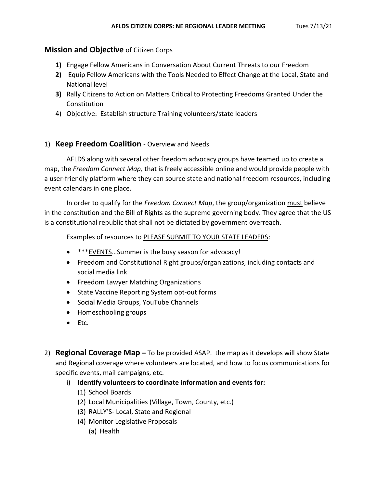### **Mission and Objective** of Citizen Corps

- **1)** Engage Fellow Americans in Conversation About Current Threats to our Freedom
- **2)** Equip Fellow Americans with the Tools Needed to Effect Change at the Local, State and National level
- **3)** Rally Citizens to Action on Matters Critical to Protecting Freedoms Granted Under the Constitution
- 4) Objective: Establish structure Training volunteers/state leaders

## 1) **Keep Freedom Coalition** - Overview and Needs

AFLDS along with several other freedom advocacy groups have teamed up to create a map, the *Freedom Connect Map,* that is freely accessible online and would provide people with a user-friendly platform where they can source state and national freedom resources, including event calendars in one place.

In order to qualify for the *Freedom Connect Map*, the group/organization must believe in the constitution and the Bill of Rights as the supreme governing body. They agree that the US is a constitutional republic that shall not be dictated by government overreach.

Examples of resources to PLEASE SUBMIT TO YOUR STATE LEADERS:

- \*\*\* **EVENTS**...Summer is the busy season for advocacy!
- Freedom and Constitutional Right groups/organizations, including contacts and social media link
- Freedom Lawyer Matching Organizations
- State Vaccine Reporting System opt-out forms
- Social Media Groups, YouTube Channels
- Homeschooling groups
- Etc.
- 2) **Regional Coverage Map –** To be provided ASAP. the map as it develops will show State and Regional coverage where volunteers are located, and how to focus communications for specific events, mail campaigns, etc.
	- i) **Identify volunteers to coordinate information and events for:**
		- (1) School Boards
		- (2) Local Municipalities (Village, Town, County, etc.)
		- (3) RALLY'S- Local, State and Regional
		- (4) Monitor Legislative Proposals
			- (a) Health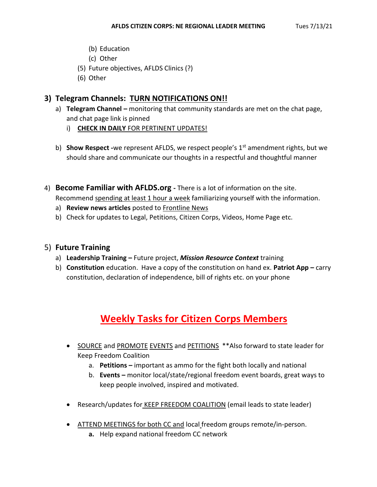- (b) Education
- (c) Other
- (5) Future objectives, AFLDS Clinics (?)
- (6) Other

## **3) Telegram Channels: TURN NOTIFICATIONS ON!!**

- a) **Telegram Channel –** monitoring that community standards are met on the chat page, and chat page link is pinned
	- i) **CHECK IN DAILY** FOR PERTINENT UPDATES!
- b) **Show Respect** -we represent AFLDS, we respect people's 1<sup>st</sup> amendment rights, but we should share and communicate our thoughts in a respectful and thoughtful manner
- 4) **Become Familiar with AFLDS.org -** There is a lot of information on the site. Recommend spending at least 1 hour a week familiarizing yourself with the information.
	- a) **Review news articles** posted to Frontline News
	- b) Check for updates to Legal, Petitions, Citizen Corps, Videos, Home Page etc.

### 5) **Future Training**

- a) **Leadership Training –** Future project, *Mission Resource Context* training
- b) **Constitution** education. Have a copy of the constitution on hand ex. **Patriot App –** carry constitution, declaration of independence, bill of rights etc. on your phone

# **Weekly Tasks for Citizen Corps Members**

- SOURCE and PROMOTE EVENTS and PETITIONS \*\* Also forward to state leader for Keep Freedom Coalition
	- a. **Petitions –** important as ammo for the fight both locally and national
	- b. **Events –** monitor local/state/regional freedom event boards, great ways to keep people involved, inspired and motivated.
- Research/updates for KEEP FREEDOM COALITION (email leads to state leader)
- ATTEND MEETINGS for both CC and local freedom groups remote/in-person.
	- **a.** Help expand national freedom CC network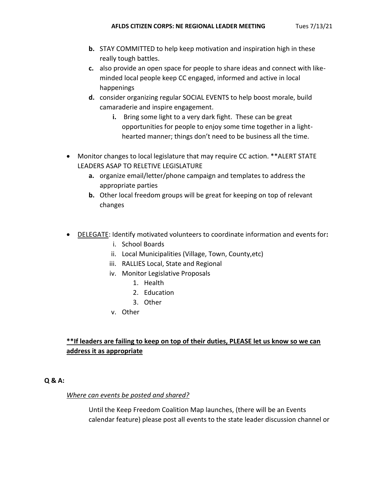- **b.** STAY COMMITTED to help keep motivation and inspiration high in these really tough battles.
- **c.** also provide an open space for people to share ideas and connect with likeminded local people keep CC engaged, informed and active in local happenings
- **d.** consider organizing regular SOCIAL EVENTS to help boost morale, build camaraderie and inspire engagement.
	- **i.** Bring some light to a very dark fight. These can be great opportunities for people to enjoy some time together in a lighthearted manner; things don't need to be business all the time.
- Monitor changes to local legislature that may require CC action. \*\*ALERT STATE LEADERS ASAP TO RELETIVE LEGISLATURE
	- **a.** organize email/letter/phone campaign and templates to address the appropriate parties
	- **b.** Other local freedom groups will be great for keeping on top of relevant changes
- DELEGATE: Identify motivated volunteers to coordinate information and events for**:**
	- i. School Boards
	- ii. Local Municipalities (Village, Town, County,etc)
	- iii. RALLIES Local, State and Regional
	- iv. Monitor Legislative Proposals
		- 1. Health
		- 2. Education
		- 3. Other
	- v. Other

## **\*\*If leaders are failing to keep on top of their duties, PLEASE let us know so we can address it as appropriate**

### **Q & A:**

### *Where can events be posted and shared?*

Until the Keep Freedom Coalition Map launches, (there will be an Events calendar feature) please post all events to the state leader discussion channel or